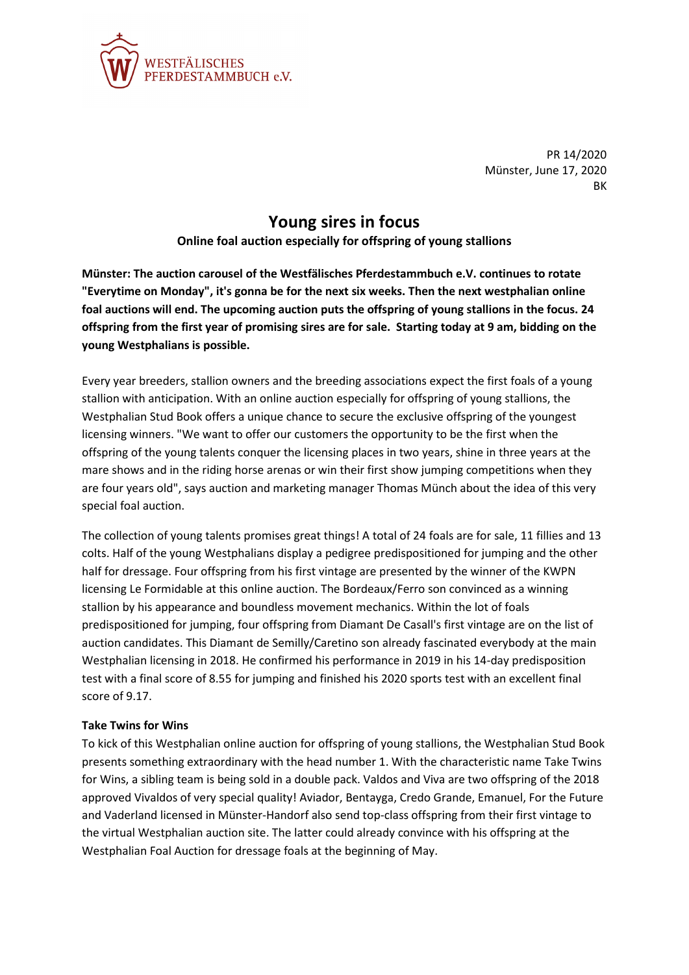

PR 14/2020 Münster, June 17, 2020 BK

## **Young sires in focus**

**Online foal auction especially for offspring of young stallions**

**Münster: The auction carousel of the Westfälisches Pferdestammbuch e.V. continues to rotate "Everytime on Monday", it's gonna be for the next six weeks. Then the next westphalian online foal auctions will end. The upcoming auction puts the offspring of young stallions in the focus. 24 offspring from the first year of promising sires are for sale. Starting today at 9 am, bidding on the young Westphalians is possible.**

Every year breeders, stallion owners and the breeding associations expect the first foals of a young stallion with anticipation. With an online auction especially for offspring of young stallions, the Westphalian Stud Book offers a unique chance to secure the exclusive offspring of the youngest licensing winners. "We want to offer our customers the opportunity to be the first when the offspring of the young talents conquer the licensing places in two years, shine in three years at the mare shows and in the riding horse arenas or win their first show jumping competitions when they are four years old", says auction and marketing manager Thomas Münch about the idea of this very special foal auction.

The collection of young talents promises great things! A total of 24 foals are for sale, 11 fillies and 13 colts. Half of the young Westphalians display a pedigree predispositioned for jumping and the other half for dressage. Four offspring from his first vintage are presented by the winner of the KWPN licensing Le Formidable at this online auction. The Bordeaux/Ferro son convinced as a winning stallion by his appearance and boundless movement mechanics. Within the lot of foals predispositioned for jumping, four offspring from Diamant De Casall's first vintage are on the list of auction candidates. This Diamant de Semilly/Caretino son already fascinated everybody at the main Westphalian licensing in 2018. He confirmed his performance in 2019 in his 14-day predisposition test with a final score of 8.55 for jumping and finished his 2020 sports test with an excellent final score of 9.17.

## **Take Twins for Wins**

To kick of this Westphalian online auction for offspring of young stallions, the Westphalian Stud Book presents something extraordinary with the head number 1. With the characteristic name Take Twins for Wins, a sibling team is being sold in a double pack. Valdos and Viva are two offspring of the 2018 approved Vivaldos of very special quality! Aviador, Bentayga, Credo Grande, Emanuel, For the Future and Vaderland licensed in Münster-Handorf also send top-class offspring from their first vintage to the virtual Westphalian auction site. The latter could already convince with his offspring at the Westphalian Foal Auction for dressage foals at the beginning of May.